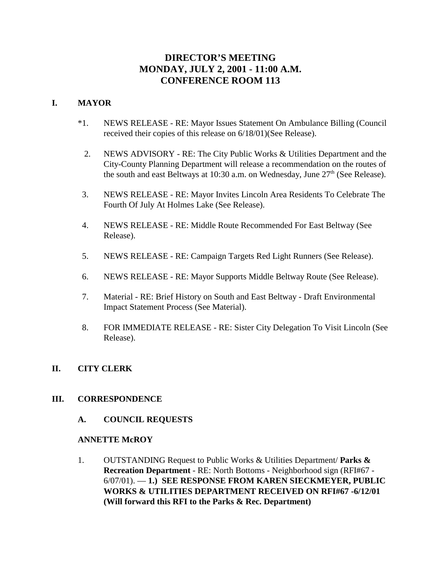# **DIRECTOR'S MEETING MONDAY, JULY 2, 2001 - 11:00 A.M. CONFERENCE ROOM 113**

### **I. MAYOR**

- \*1. NEWS RELEASE RE: Mayor Issues Statement On Ambulance Billing (Council received their copies of this release on 6/18/01)(See Release).
	- 2. NEWS ADVISORY RE: The City Public Works & Utilities Department and the City-County Planning Department will release a recommendation on the routes of the south and east Beltways at 10:30 a.m. on Wednesday, June  $27<sup>th</sup>$  (See Release).
- 3. NEWS RELEASE RE: Mayor Invites Lincoln Area Residents To Celebrate The Fourth Of July At Holmes Lake (See Release).
- 4. NEWS RELEASE RE: Middle Route Recommended For East Beltway (See Release).
- 5. NEWS RELEASE RE: Campaign Targets Red Light Runners (See Release).
- 6. NEWS RELEASE RE: Mayor Supports Middle Beltway Route (See Release).
- 7. Material RE: Brief History on South and East Beltway Draft Environmental Impact Statement Process (See Material).
- 8. FOR IMMEDIATE RELEASE RE: Sister City Delegation To Visit Lincoln (See Release).

### **II. CITY CLERK**

#### **III. CORRESPONDENCE**

**A. COUNCIL REQUESTS**

#### **ANNETTE McROY**

1. OUTSTANDING Request to Public Works & Utilities Department/ **Parks & Recreation Department** - RE: North Bottoms - Neighborhood sign (RFI#67 - 6/07/01). — **1.) SEE RESPONSE FROM KAREN SIECKMEYER, PUBLIC WORKS & UTILITIES DEPARTMENT RECEIVED ON RFI#67 -6/12/01 (Will forward this RFI to the Parks & Rec. Department)**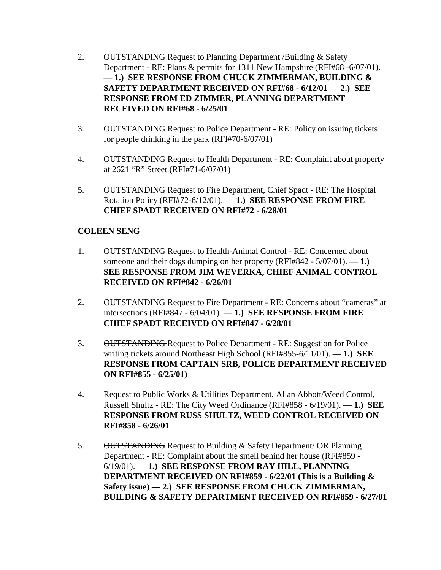- 2. OUTSTANDING Request to Planning Department /Building & Safety Department - RE: Plans & permits for 1311 New Hampshire (RFI#68 -6/07/01). — **1.) SEE RESPONSE FROM CHUCK ZIMMERMAN, BUILDING & SAFETY DEPARTMENT RECEIVED ON RFI#68 - 6/12/01** — **2.) SEE RESPONSE FROM ED ZIMMER, PLANNING DEPARTMENT RECEIVED ON RFI#68 - 6/25/01**
- 3. OUTSTANDING Request to Police Department RE: Policy on issuing tickets for people drinking in the park (RFI#70-6/07/01)
- 4. OUTSTANDING Request to Health Department RE: Complaint about property at 2621 "R" Street (RFI#71-6/07/01)
- 5. OUTSTANDING Request to Fire Department, Chief Spadt RE: The Hospital Rotation Policy (RFI#72-6/12/01). — **1.) SEE RESPONSE FROM FIRE CHIEF SPADT RECEIVED ON RFI#72 - 6/28/01**

#### **COLEEN SENG**

- 1. OUTSTANDING Request to Health-Animal Control RE: Concerned about someone and their dogs dumping on her property (RFI#842 - 5/07/01). — **1.) SEE RESPONSE FROM JIM WEVERKA, CHIEF ANIMAL CONTROL RECEIVED ON RFI#842 - 6/26/01**
- 2. OUTSTANDING Request to Fire Department RE: Concerns about "cameras" at intersections (RFI#847 - 6/04/01). — **1.) SEE RESPONSE FROM FIRE CHIEF SPADT RECEIVED ON RFI#847 - 6/28/01**
- 3. OUTSTANDING Request to Police Department RE: Suggestion for Police writing tickets around Northeast High School (RFI#855-6/11/01). — **1.) SEE RESPONSE FROM CAPTAIN SRB, POLICE DEPARTMENT RECEIVED ON RFI#855 - 6/25/01)**
- 4. Request to Public Works & Utilities Department, Allan Abbott/Weed Control, Russell Shultz - RE: The City Weed Ordinance (RFI#858 - 6/19/01). — **1.) SEE RESPONSE FROM RUSS SHULTZ, WEED CONTROL RECEIVED ON RFI#858 - 6/26/01**
- 5. OUTSTANDING Request to Building & Safety Department/ OR Planning Department - RE: Complaint about the smell behind her house (RFI#859 - 6/19/01). — **1.) SEE RESPONSE FROM RAY HILL, PLANNING DEPARTMENT RECEIVED ON RFI#859 - 6/22/01 (This is a Building & Safety issue) — 2.) SEE RESPONSE FROM CHUCK ZIMMERMAN, BUILDING & SAFETY DEPARTMENT RECEIVED ON RFI#859 - 6/27/01**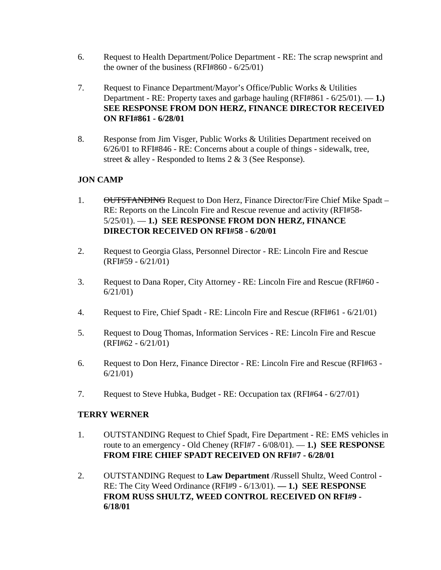- 6. Request to Health Department/Police Department RE: The scrap newsprint and the owner of the business (RFI#860 - 6/25/01)
- 7. Request to Finance Department/Mayor's Office/Public Works & Utilities Department - RE: Property taxes and garbage hauling (RFI#861 - 6/25/01). — **1.) SEE RESPONSE FROM DON HERZ, FINANCE DIRECTOR RECEIVED ON RFI#861 - 6/28/01**
- 8. Response from Jim Visger, Public Works & Utilities Department received on 6/26/01 to RFI#846 - RE: Concerns about a couple of things - sidewalk, tree, street & alley - Responded to Items 2 & 3 (See Response).

### **JON CAMP**

- 1. OUTSTANDING Request to Don Herz, Finance Director/Fire Chief Mike Spadt RE: Reports on the Lincoln Fire and Rescue revenue and activity (RFI#58- 5/25/01). — **1.) SEE RESPONSE FROM DON HERZ, FINANCE DIRECTOR RECEIVED ON RFI#58 - 6/20/01**
- 2. Request to Georgia Glass, Personnel Director RE: Lincoln Fire and Rescue (RFI#59 - 6/21/01)
- 3. Request to Dana Roper, City Attorney RE: Lincoln Fire and Rescue (RFI#60 6/21/01)
- 4. Request to Fire, Chief Spadt RE: Lincoln Fire and Rescue (RFI#61 6/21/01)
- 5. Request to Doug Thomas, Information Services RE: Lincoln Fire and Rescue (RFI#62 - 6/21/01)
- 6. Request to Don Herz, Finance Director RE: Lincoln Fire and Rescue (RFI#63 6/21/01)
- 7. Request to Steve Hubka, Budget RE: Occupation tax (RFI#64 6/27/01)

#### **TERRY WERNER**

- 1. OUTSTANDING Request to Chief Spadt, Fire Department RE: EMS vehicles in route to an emergency - Old Cheney (RFI#7 - 6/08/01). — **1.) SEE RESPONSE FROM FIRE CHIEF SPADT RECEIVED ON RFI#7 - 6/28/01**
- 2. OUTSTANDING Request to **Law Department** /Russell Shultz, Weed Control RE: The City Weed Ordinance (RFI#9 - 6/13/01). **— 1.) SEE RESPONSE FROM RUSS SHULTZ, WEED CONTROL RECEIVED ON RFI#9 - 6/18/01**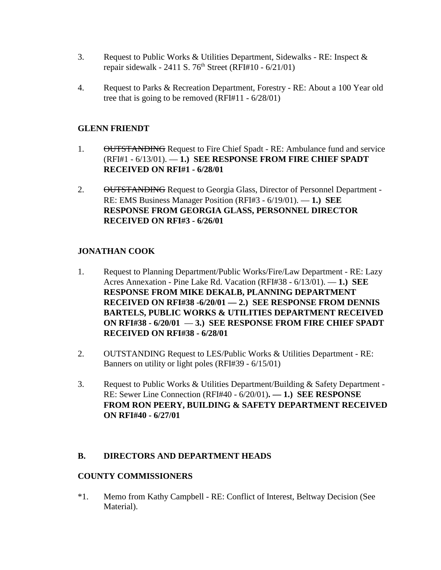- 3. Request to Public Works & Utilities Department, Sidewalks RE: Inspect & repair sidewalk - 2411 S.  $76<sup>th</sup>$  Street (RFI#10 - 6/21/01)
- 4. Request to Parks & Recreation Department, Forestry RE: About a 100 Year old tree that is going to be removed (RFI#11 - 6/28/01)

### **GLENN FRIENDT**

- 1. OUTSTANDING Request to Fire Chief Spadt RE: Ambulance fund and service (RFI#1 - 6/13/01). — **1.) SEE RESPONSE FROM FIRE CHIEF SPADT RECEIVED ON RFI#1 - 6/28/01**
- 2. OUTSTANDING Request to Georgia Glass, Director of Personnel Department -RE: EMS Business Manager Position (RFI#3 - 6/19/01). — **1.) SEE RESPONSE FROM GEORGIA GLASS, PERSONNEL DIRECTOR RECEIVED ON RFI#3 - 6/26/01**

### **JONATHAN COOK**

- 1. Request to Planning Department/Public Works/Fire/Law Department RE: Lazy Acres Annexation - Pine Lake Rd. Vacation (RFI#38 - 6/13/01). — **1.) SEE RESPONSE FROM MIKE DEKALB, PLANNING DEPARTMENT RECEIVED ON RFI#38 -6/20/01 — 2.) SEE RESPONSE FROM DENNIS BARTELS, PUBLIC WORKS & UTILITIES DEPARTMENT RECEIVED ON RFI#38 - 6/20/01** — **3.) SEE RESPONSE FROM FIRE CHIEF SPADT RECEIVED ON RFI#38 - 6/28/01**
- 2. OUTSTANDING Request to LES/Public Works & Utilities Department RE: Banners on utility or light poles (RFI#39 - 6/15/01)
- 3. Request to Public Works & Utilities Department/Building & Safety Department RE: Sewer Line Connection (RFI#40 - 6/20/01)**. — 1.) SEE RESPONSE FROM RON PEERY, BUILDING & SAFETY DEPARTMENT RECEIVED ON RFI#40 - 6/27/01**

#### **B. DIRECTORS AND DEPARTMENT HEADS**

#### **COUNTY COMMISSIONERS**

\*1. Memo from Kathy Campbell - RE: Conflict of Interest, Beltway Decision (See Material).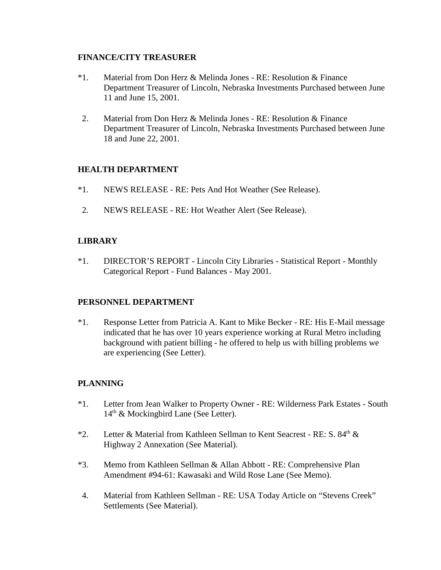#### **FINANCE/CITY TREASURER**

- \*1. Material from Don Herz & Melinda Jones RE: Resolution & Finance Department Treasurer of Lincoln, Nebraska Investments Purchased between June 11 and June 15, 2001.
- 2. Material from Don Herz & Melinda Jones RE: Resolution & Finance Department Treasurer of Lincoln, Nebraska Investments Purchased between June 18 and June 22, 2001.

#### **HEALTH DEPARTMENT**

- \*1. NEWS RELEASE RE: Pets And Hot Weather (See Release).
- 2. NEWS RELEASE RE: Hot Weather Alert (See Release).

### **LIBRARY**

\*1. DIRECTOR'S REPORT - Lincoln City Libraries - Statistical Report - Monthly Categorical Report - Fund Balances - May 2001.

#### **PERSONNEL DEPARTMENT**

\*1. Response Letter from Patricia A. Kant to Mike Becker - RE: His E-Mail message indicated that he has over 10 years experience working at Rural Metro including background with patient billing - he offered to help us with billing problems we are experiencing (See Letter).

## **PLANNING**

- \*1. Letter from Jean Walker to Property Owner RE: Wilderness Park Estates South 14<sup>th</sup> & Mockingbird Lane (See Letter).
- \*2. Letter & Material from Kathleen Sellman to Kent Seacrest RE: S. 84<sup>th</sup> & Highway 2 Annexation (See Material).
- \*3. Memo from Kathleen Sellman & Allan Abbott RE: Comprehensive Plan Amendment #94-61: Kawasaki and Wild Rose Lane (See Memo).
- 4. Material from Kathleen Sellman RE: USA Today Article on "Stevens Creek" Settlements (See Material).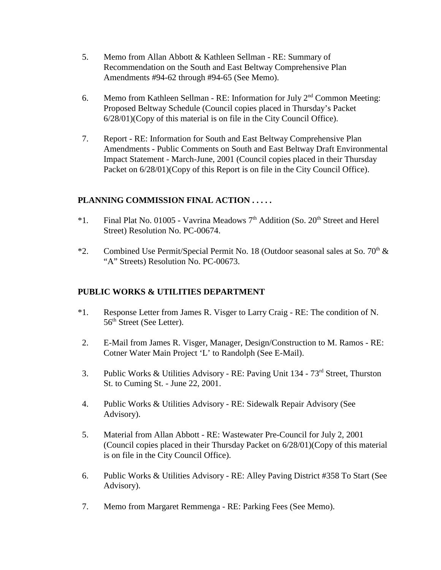- 5. Memo from Allan Abbott & Kathleen Sellman RE: Summary of Recommendation on the South and East Beltway Comprehensive Plan Amendments #94-62 through #94-65 (See Memo).
- 6. Memo from Kathleen Sellman RE: Information for July  $2<sup>nd</sup>$  Common Meeting: Proposed Beltway Schedule (Council copies placed in Thursday's Packet 6/28/01)(Copy of this material is on file in the City Council Office).
- 7. Report RE: Information for South and East Beltway Comprehensive Plan Amendments - Public Comments on South and East Beltway Draft Environmental Impact Statement - March-June, 2001 (Council copies placed in their Thursday Packet on  $6/28/01$ )(Copy of this Report is on file in the City Council Office).

## **PLANNING COMMISSION FINAL ACTION . . . . .**

- \*1. Final Plat No. 01005 Vavrina Meadows  $7<sup>th</sup>$  Addition (So. 20<sup>th</sup> Street and Herel Street) Resolution No. PC-00674.
- \*2. Combined Use Permit/Special Permit No. 18 (Outdoor seasonal sales at So.  $70<sup>th</sup>$  & "A" Streets) Resolution No. PC-00673.

#### **PUBLIC WORKS & UTILITIES DEPARTMENT**

- \*1. Response Letter from James R. Visger to Larry Craig RE: The condition of N. 56<sup>th</sup> Street (See Letter).
- 2. E-Mail from James R. Visger, Manager, Design/Construction to M. Ramos RE: Cotner Water Main Project 'L' to Randolph (See E-Mail).
- 3. Public Works & Utilities Advisory RE: Paving Unit 134 73rd Street, Thurston St. to Cuming St. - June 22, 2001.
- 4. Public Works & Utilities Advisory RE: Sidewalk Repair Advisory (See Advisory).
- 5. Material from Allan Abbott RE: Wastewater Pre-Council for July 2, 2001 (Council copies placed in their Thursday Packet on 6/28/01)(Copy of this material is on file in the City Council Office).
- 6. Public Works & Utilities Advisory RE: Alley Paving District #358 To Start (See Advisory).
- 7. Memo from Margaret Remmenga RE: Parking Fees (See Memo).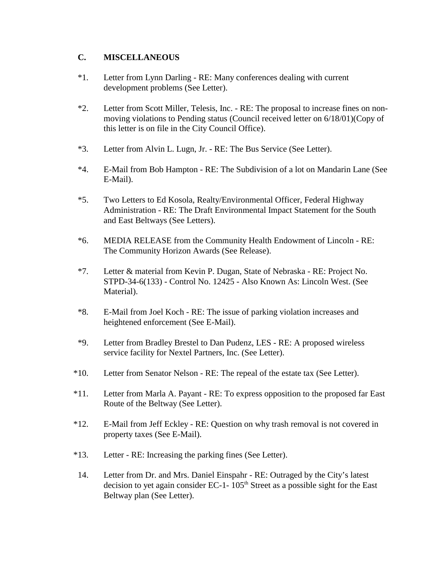#### **C. MISCELLANEOUS**

- \*1. Letter from Lynn Darling RE: Many conferences dealing with current development problems (See Letter).
- \*2. Letter from Scott Miller, Telesis, Inc. RE: The proposal to increase fines on nonmoving violations to Pending status (Council received letter on 6/18/01)(Copy of this letter is on file in the City Council Office).
- \*3. Letter from Alvin L. Lugn, Jr. RE: The Bus Service (See Letter).
- \*4. E-Mail from Bob Hampton RE: The Subdivision of a lot on Mandarin Lane (See E-Mail).
- \*5. Two Letters to Ed Kosola, Realty/Environmental Officer, Federal Highway Administration - RE: The Draft Environmental Impact Statement for the South and East Beltways (See Letters).
- \*6. MEDIA RELEASE from the Community Health Endowment of Lincoln RE: The Community Horizon Awards (See Release).
- \*7. Letter & material from Kevin P. Dugan, State of Nebraska RE: Project No. STPD-34-6(133) - Control No. 12425 - Also Known As: Lincoln West. (See Material).
- \*8. E-Mail from Joel Koch RE: The issue of parking violation increases and heightened enforcement (See E-Mail).
- \*9. Letter from Bradley Brestel to Dan Pudenz, LES RE: A proposed wireless service facility for Nextel Partners, Inc. (See Letter).
- \*10. Letter from Senator Nelson RE: The repeal of the estate tax (See Letter).
- \*11. Letter from Marla A. Payant RE: To express opposition to the proposed far East Route of the Beltway (See Letter).
- \*12. E-Mail from Jeff Eckley RE: Question on why trash removal is not covered in property taxes (See E-Mail).
- \*13. Letter RE: Increasing the parking fines (See Letter).
- 14. Letter from Dr. and Mrs. Daniel Einspahr RE: Outraged by the City's latest decision to yet again consider EC-1-  $105<sup>th</sup>$  Street as a possible sight for the East Beltway plan (See Letter).